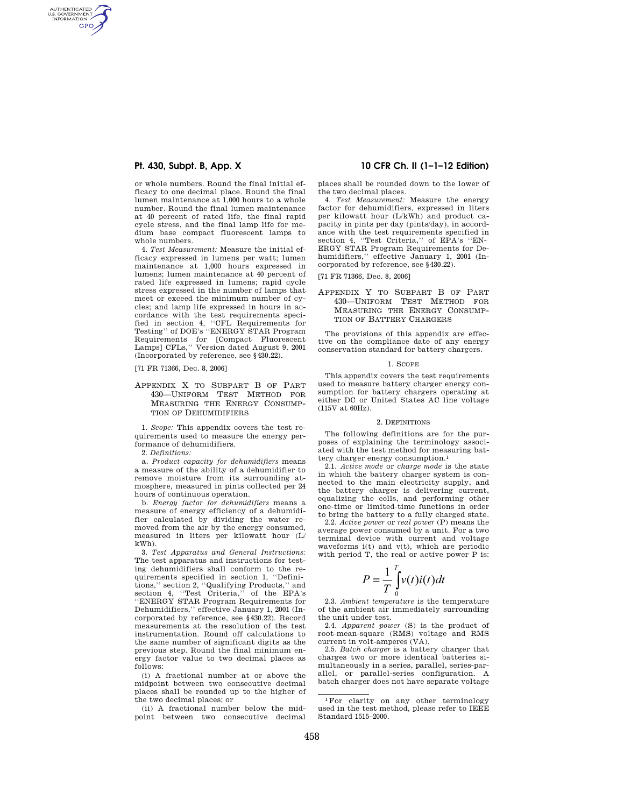AUTHENTICATED<br>U.S. GOVERNMENT<br>INFORMATION **GPO** 

> or whole numbers. Round the final initial efficacy to one decimal place. Round the final lumen maintenance at 1,000 hours to a whole number. Round the final lumen maintenance at 40 percent of rated life, the final rapid cycle stress, and the final lamp life for medium base compact fluorescent lamps to whole numbers.

> 4. *Test Measurement:* Measure the initial efficacy expressed in lumens per watt; lumen maintenance at 1,000 hours expressed in lumens; lumen maintenance at 40 percent of rated life expressed in lumens; rapid cycle stress expressed in the number of lamps that meet or exceed the minimum number of cycles; and lamp life expressed in hours in accordance with the test requirements specified in section 4, ''CFL Requirements for Testing'' of DOE's ''ENERGY STAR Program Requirements for [Compact Fluorescent Lamps] CFLs,'' Version dated August 9, 2001 (Incorporated by reference, see §430.22).

[71 FR 71366, Dec. 8, 2006]

APPENDIX X TO SUBPART B OF PART 430—UNIFORM TEST METHOD FOR MEASURING THE ENERGY CONSUMP-TION OF DEHUMIDIFIERS

1. *Scope:* This appendix covers the test requirements used to measure the energy performance of dehumidifiers.

2. *Definitions:* 

a. *Product capacity for dehumidifiers* means a measure of the ability of a dehumidifier to remove moisture from its surrounding atmosphere, measured in pints collected per 24 hours of continuous operation.

b. *Energy factor for dehumidifiers* means a measure of energy efficiency of a dehumidifier calculated by dividing the water removed from the air by the energy consumed, measured in liters per kilowatt hour (L/ kWh).

3. *Test Apparatus and General Instructions:*  The test apparatus and instructions for testing dehumidifiers shall conform to the requirements specified in section 1, ''Definitions,'' section 2, ''Qualifying Products,'' and section 4, ''Test Criteria,'' of the EPA's ''ENERGY STAR Program Requirements for Dehumidifiers,'' effective January 1, 2001 (Incorporated by reference, see §430.22). Record measurements at the resolution of the test instrumentation. Round off calculations to the same number of significant digits as the previous step. Round the final minimum energy factor value to two decimal places as follows:

(i) A fractional number at or above the midpoint between two consecutive decimal places shall be rounded up to the higher of the two decimal places; or

(ii) A fractional number below the midpoint between two consecutive decimal

# **Pt. 430, Subpt. B, App. X 10 CFR Ch. II (1–1–12 Edition)**

places shall be rounded down to the lower of the two decimal places.

4. *Test Measurement:* Measure the energy factor for dehumidifiers, expressed in liters per kilowatt hour (L/kWh) and product capacity in pints per day (pints/day), in accordance with the test requirements specified in section 4, "Test Criteria," of EPA's "EN-ERGY STAR Program Requirements for Dehumidifiers,'' effective January 1, 2001 (Incorporated by reference, see §430.22).

[71 FR 71366, Dec. 8, 2006]

## APPENDIX Y TO SUBPART B OF PART 430—UNIFORM TEST METHOD FOR MEASURING THE ENERGY CONSUMP-TION OF BATTERY CHARGERS

The provisions of this appendix are effective on the compliance date of any energy conservation standard for battery chargers.

#### 1. SCOPE

This appendix covers the test requirements used to measure battery charger energy consumption for battery chargers operating at either DC or United States AC line voltage (115V at 60Hz).

#### 2. DEFINITIONS

The following definitions are for the purposes of explaining the terminology associated with the test method for measuring battery charger energy consumption.<sup>1</sup>

2.1. *Active mode* or *charge mode* is the state in which the battery charger system is connected to the main electricity supply, and the battery charger is delivering current, equalizing the cells, and performing other one-time or limited-time functions in order to bring the battery to a fully charged state.

2.2. *Active power* or *real power* (P) means the average power consumed by a unit. For a two terminal device with current and voltage waveforms i(t) and v(t), which are periodic with period T, the real or active power P is:

$$
P = \frac{1}{T} \int_{0}^{T} v(t)i(t)dt
$$

2.3. *Ambient temperature* is the temperature of the ambient air immediately surrounding the unit under test.

2.4. *Apparent power* (S) is the product of root-mean-square (RMS) voltage and RMS current in volt-amperes (VA).

2.5. *Batch charger* is a battery charger that charges two or more identical batteries simultaneously in a series, parallel, series-parallel, or parallel-series configuration. A batch charger does not have separate voltage

<sup>1</sup>For clarity on any other terminology used in the test method, please refer to IEEE Standard 1515–2000.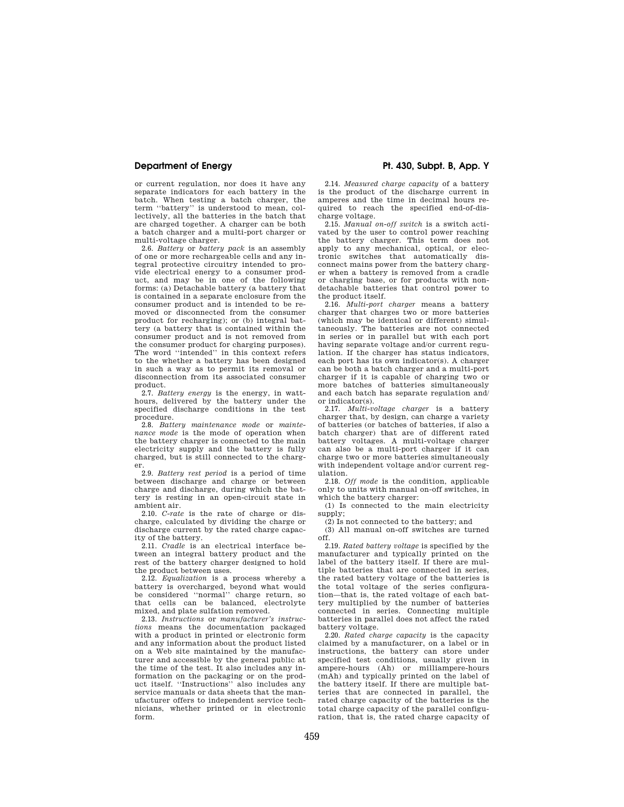or current regulation, nor does it have any separate indicators for each battery in the batch. When testing a batch charger, the term ''battery'' is understood to mean, collectively, all the batteries in the batch that are charged together. A charger can be both a batch charger and a multi-port charger or multi-voltage charger.

2.6. *Battery* or *battery pack* is an assembly of one or more rechargeable cells and any integral protective circuitry intended to provide electrical energy to a consumer product, and may be in one of the following forms: (a) Detachable battery (a battery that is contained in a separate enclosure from the consumer product and is intended to be removed or disconnected from the consumer product for recharging); or (b) integral battery (a battery that is contained within the consumer product and is not removed from the consumer product for charging purposes). The word ''intended'' in this context refers to the whether a battery has been designed in such a way as to permit its removal or disconnection from its associated consumer product.

2.7. *Battery energy* is the energy, in watthours, delivered by the battery under the specified discharge conditions in the test procedure.

2.8. *Battery maintenance mode* or *maintenance mode* is the mode of operation when the battery charger is connected to the main electricity supply and the battery is fully charged, but is still connected to the charger.

2.9. *Battery rest period* is a period of time between discharge and charge or between charge and discharge, during which the battery is resting in an open-circuit state in ambient air.

2.10. *C-rate* is the rate of charge or discharge, calculated by dividing the charge or discharge current by the rated charge capacity of the battery.

2.11. *Cradle* is an electrical interface between an integral battery product and the rest of the battery charger designed to hold the product between uses.

2.12. *Equalization* is a process whereby a battery is overcharged, beyond what would be considered ''normal'' charge return, so that cells can be balanced, electrolyte mixed, and plate sulfation removed.

2.13. *Instructions* or *manufacturer's instructions* means the documentation packaged with a product in printed or electronic form and any information about the product listed on a Web site maintained by the manufacturer and accessible by the general public at the time of the test. It also includes any information on the packaging or on the product itself. ''Instructions'' also includes any service manuals or data sheets that the manufacturer offers to independent service technicians, whether printed or in electronic form.

**Department of Energy Pt. 430, Subpt. B, App. Y** 

2.14. *Measured charge capacity* of a battery is the product of the discharge current in amperes and the time in decimal hours required to reach the specified end-of-discharge voltage.

2.15. *Manual on-off switch* is a switch activated by the user to control power reaching the battery charger. This term does not apply to any mechanical, optical, or electronic switches that automatically disconnect mains power from the battery charger when a battery is removed from a cradle or charging base, or for products with nondetachable batteries that control power to the product itself.

2.16. *Multi-port charger* means a battery charger that charges two or more batteries (which may be identical or different) simultaneously. The batteries are not connected in series or in parallel but with each port having separate voltage and/or current regulation. If the charger has status indicators, each port has its own indicator(s). A charger can be both a batch charger and a multi-port charger if it is capable of charging two or more batches of batteries simultaneously and each batch has separate regulation and/ or indicator(s).

2.17. *Multi-voltage charger* is a battery charger that, by design, can charge a variety of batteries (or batches of batteries, if also a batch charger) that are of different rated battery voltages. A multi-voltage charger can also be a multi-port charger if it can charge two or more batteries simultaneously with independent voltage and/or current regulation.

2.18. *Off mode* is the condition, applicable only to units with manual on-off switches, in which the battery charger:

(1) Is connected to the main electricity supply;

(2) Is not connected to the battery; and

(3) All manual on-off switches are turned off.

2.19. *Rated battery voltage* is specified by the manufacturer and typically printed on the label of the battery itself. If there are multiple batteries that are connected in series, the rated battery voltage of the batteries is the total voltage of the series configuration—that is, the rated voltage of each battery multiplied by the number of batteries connected in series. Connecting multiple batteries in parallel does not affect the rated battery voltage.

2.20. *Rated charge capacity* is the capacity claimed by a manufacturer, on a label or in instructions, the battery can store under specified test conditions, usually given in ampere-hours (Ah) or milliampere-hours (mAh) and typically printed on the label of the battery itself. If there are multiple batteries that are connected in parallel, the rated charge capacity of the batteries is the total charge capacity of the parallel configuration, that is, the rated charge capacity of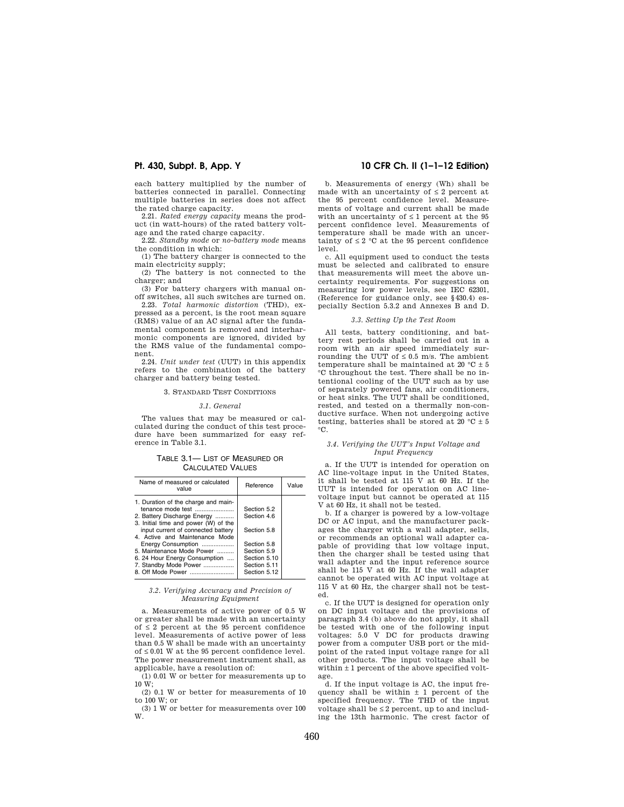each battery multiplied by the number of batteries connected in parallel. Connecting multiple batteries in series does not affect the rated charge capacity.

2.21. *Rated energy capacity* means the product (in watt-hours) of the rated battery voltage and the rated charge capacity.

2.22. *Standby mode* or *no-battery mode* means the condition in which:

(1) The battery charger is connected to the main electricity supply;

(2) The battery is not connected to the charger; and

(3) For battery chargers with manual onoff switches, all such switches are turned on. 2.23. *Total harmonic distortion* (THD), ex-

pressed as a percent, is the root mean square (RMS) value of an AC signal after the fundamental component is removed and interharmonic components are ignored, divided by the RMS value of the fundamental component.

2.24. *Unit under test* (UUT) in this appendix refers to the combination of the battery charger and battery being tested.

#### 3. STANDARD TEST CONDITIONS

#### *3.1. General*

The values that may be measured or calculated during the conduct of this test procedure have been summarized for easy reference in Table 3.1.

#### TABLE 3.1— LIST OF MEASURED OR CALCULATED VALUES

| Name of measured or calculated<br>value                                                                                         | Reference                    | Value |
|---------------------------------------------------------------------------------------------------------------------------------|------------------------------|-------|
| 1. Duration of the charge and main-<br>tenance mode test<br>2. Battery Discharge Energy<br>3. Initial time and power (W) of the | Section 5.2<br>Section 4.6   |       |
| input current of connected battery<br>4. Active and Maintenance Mode                                                            | Section 5.8                  |       |
| Energy Consumption<br>5. Maintenance Mode Power                                                                                 | Section 5.8<br>Section 5.9   |       |
|                                                                                                                                 |                              |       |
| 6. 24 Hour Energy Consumption<br>7. Standby Mode Power                                                                          | Section 5.10<br>Section 5.11 |       |
| 8. Off Mode Power                                                                                                               | Section 5.12                 |       |

#### *3.2. Verifying Accuracy and Precision of Measuring Equipment*

a. Measurements of active power of 0.5 W or greater shall be made with an uncertainty of  $\leq 2$  percent at the 95 percent confidence level. Measurements of active power of less than 0.5 W shall be made with an uncertainty of ≤ 0.01 W at the 95 percent confidence level. The power measurement instrument shall, as applicable, have a resolution of:

 $(1)$  0.01 W or better for measurements up to 10 W;

(2) 0.1 W or better for measurements of 10 to 100 W; or

(3) 1 W or better for measurements over 100 W.

# **Pt. 430, Subpt. B, App. Y 10 CFR Ch. II (1–1–12 Edition)**

b. Measurements of energy (Wh) shall be made with an uncertainty of  $\leq 2$  percent at the 95 percent confidence level. Measurements of voltage and current shall be made with an uncertainty of  $\leq 1$  percent at the  $95$ percent confidence level. Measurements of temperature shall be made with an uncertainty of  $\leq 2$  °C at the 95 percent confidence level.

c. All equipment used to conduct the tests must be selected and calibrated to ensure that measurements will meet the above uncertainty requirements. For suggestions on measuring low power levels, see IEC 62301, (Reference for guidance only, see §430.4) especially Section 5.3.2 and Annexes B and D.

#### *3.3. Setting Up the Test Room*

All tests, battery conditioning, and battery rest periods shall be carried out in a room with an air speed immediately surrounding the UUT of  $\leq 0.5$  m/s. The ambient temperature shall be maintained at 20  $^{\circ}\textrm{C}\pm5$ °C throughout the test. There shall be no intentional cooling of the UUT such as by use of separately powered fans, air conditioners, or heat sinks. The UUT shall be conditioned, rested, and tested on a thermally non-conductive surface. When not undergoing active testing, batteries shall be stored at 20  $°C \pm 5$ °C.

## *3.4. Verifying the UUT's Input Voltage and Input Frequency*

a. If the UUT is intended for operation on AC line-voltage input in the United States, it shall be tested at 115 V at 60 Hz. If the UUT is intended for operation on AC linevoltage input but cannot be operated at 115 V at 60 Hz, it shall not be tested.

b. If a charger is powered by a low-voltage DC or AC input, and the manufacturer packages the charger with a wall adapter, sells, or recommends an optional wall adapter capable of providing that low voltage input, then the charger shall be tested using that wall adapter and the input reference source shall be 115 V at 60 Hz. If the wall adapter cannot be operated with AC input voltage at 115 V at 60 Hz, the charger shall not be tested.

c. If the UUT is designed for operation only on DC input voltage and the provisions of paragraph 3.4 (b) above do not apply, it shall be tested with one of the following input voltages: 5.0 V DC for products drawing power from a computer USB port or the midpoint of the rated input voltage range for all other products. The input voltage shall be within  $\pm 1$  percent of the above specified voltage.

d. If the input voltage is AC, the input frequency shall be within  $+1$  percent of the specified frequency. The THD of the input voltage shall be  $\leq 2$  percent, up to and including the 13th harmonic. The crest factor of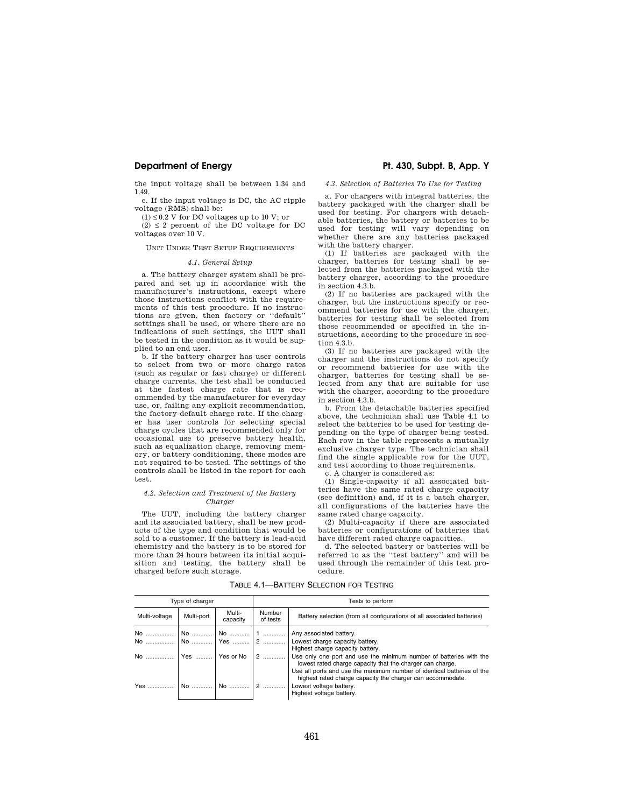the input voltage shall be between 1.34 and 1.49.

e. If the input voltage is DC, the AC ripple voltage (RMS) shall be:

 $(1) \leq 0.2$  V for DC voltages up to 10 V; or  $(2) \leq 2$  percent of the DC voltage for DC voltages over 10 V.

#### UNIT UNDER TEST SETUP REQUIREMENTS

#### *4.1. General Setup*

a. The battery charger system shall be prepared and set up in accordance with the manufacturer's instructions, except where those instructions conflict with the requirements of this test procedure. If no instructions are given, then factory or ''default'' settings shall be used, or where there are no indications of such settings, the UUT shall be tested in the condition as it would be supplied to an end user.

b. If the battery charger has user controls to select from two or more charge rates (such as regular or fast charge) or different charge currents, the test shall be conducted at the fastest charge rate that is recommended by the manufacturer for everyday use, or, failing any explicit recommendation, the factory-default charge rate. If the charger has user controls for selecting special charge cycles that are recommended only for occasional use to preserve battery health, such as equalization charge, removing memory, or battery conditioning, these modes are not required to be tested. The settings of the controls shall be listed in the report for each test.

## *4.2. Selection and Treatment of the Battery Charger*

The UUT, including the battery charger and its associated battery, shall be new products of the type and condition that would be sold to a customer. If the battery is lead-acid chemistry and the battery is to be stored for more than 24 hours between its initial acquisition and testing, the battery shall be charged before such storage.

*4.3. Selection of Batteries To Use for Testing* 

a. For chargers with integral batteries, the battery packaged with the charger shall be used for testing. For chargers with detachable batteries, the battery or batteries to be used for testing will vary depending on whether there are any batteries packaged with the battery charger.

(1) If batteries are packaged with the charger, batteries for testing shall be selected from the batteries packaged with the battery charger, according to the procedure in section 4.3.b.

(2) If no batteries are packaged with the charger, but the instructions specify or recommend batteries for use with the charger, batteries for testing shall be selected from those recommended or specified in the instructions, according to the procedure in section 4.3.b.

(3) If no batteries are packaged with the charger and the instructions do not specify or recommend batteries for use with the charger, batteries for testing shall be selected from any that are suitable for use with the charger, according to the procedure in section 4.3.b.

b. From the detachable batteries specified above, the technician shall use Table 4.1 to select the batteries to be used for testing depending on the type of charger being tested. Each row in the table represents a mutually exclusive charger type. The technician shall find the single applicable row for the UUT, and test according to those requirements.

c. A charger is considered as:

(1) Single-capacity if all associated batteries have the same rated charge capacity (see definition) and, if it is a batch charger, all configurations of the batteries have the same rated charge capacity.

(2) Multi-capacity if there are associated batteries or configurations of batteries that have different rated charge capacities.

d. The selected battery or batteries will be referred to as the ''test battery'' and will be used through the remainder of this test procedure.

TABLE 4.1—BATTERY SELECTION FOR TESTING

| Type of charger      |            |                    | Tests to perform   |                                                                                                                                                                                                                                                                         |  |  |
|----------------------|------------|--------------------|--------------------|-------------------------------------------------------------------------------------------------------------------------------------------------------------------------------------------------------------------------------------------------------------------------|--|--|
| Multi-voltage        | Multi-port | Multi-<br>capacity | Number<br>of tests | Battery selection (from all configurations of all associated batteries)                                                                                                                                                                                                 |  |  |
|                      |            |                    |                    | Any associated battery.                                                                                                                                                                                                                                                 |  |  |
|                      |            |                    |                    | Highest charge capacity battery.                                                                                                                                                                                                                                        |  |  |
| No  Yes  Yes or No 2 |            |                    |                    | Use only one port and use the minimum number of batteries with the<br>lowest rated charge capacity that the charger can charge.<br>Use all ports and use the maximum number of identical batteries of the<br>highest rated charge capacity the charger can accommodate. |  |  |
|                      |            |                    |                    | Lowest voltage battery.<br>Highest voltage battery.                                                                                                                                                                                                                     |  |  |

# **Department of Energy Pt. 430, Subpt. B, App. Y**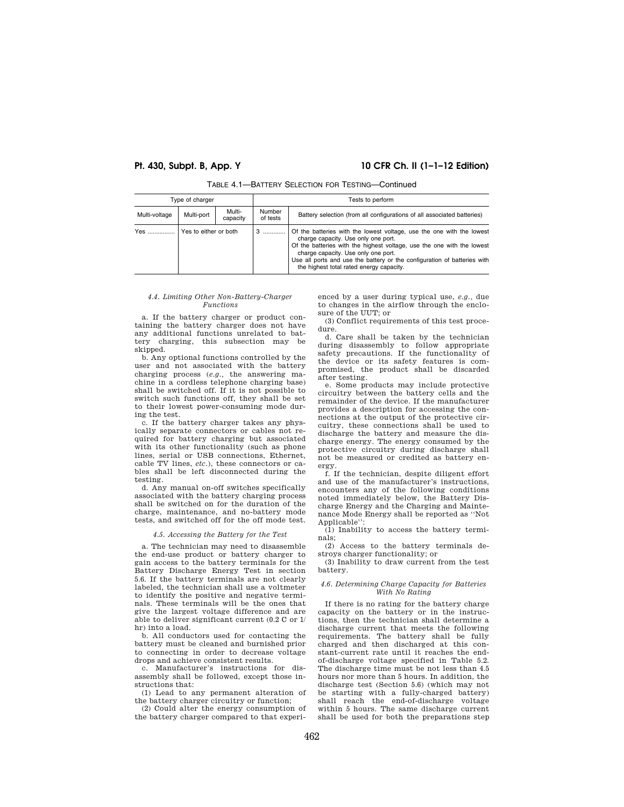# **Pt. 430, Subpt. B, App. Y 10 CFR Ch. II (1–1–12 Edition)**

| Type of charger              |            |                    | Tests to perform                                                                                                                                                                                                                                                                                                                                      |                                                                         |  |  |
|------------------------------|------------|--------------------|-------------------------------------------------------------------------------------------------------------------------------------------------------------------------------------------------------------------------------------------------------------------------------------------------------------------------------------------------------|-------------------------------------------------------------------------|--|--|
| Multi-voltage                | Multi-port | Multi-<br>capacity | Number<br>of tests                                                                                                                                                                                                                                                                                                                                    | Battery selection (from all configurations of all associated batteries) |  |  |
| Yes<br>Yes to either or both |            | . 3                | Of the batteries with the lowest voltage, use the one with the lowest<br>charge capacity. Use only one port.<br>Of the batteries with the highest voltage, use the one with the lowest<br>charge capacity. Use only one port.<br>Use all ports and use the battery or the configuration of batteries with<br>the highest total rated energy capacity. |                                                                         |  |  |

# TABLE 4.1—BATTERY SELECTION FOR TESTING—Continued

#### *4.4. Limiting Other Non-Battery-Charger Functions*

a. If the battery charger or product containing the battery charger does not have any additional functions unrelated to battery charging, this subsection may be skipped.

b. Any optional functions controlled by the user and not associated with the battery charging process (*e.g.,* the answering machine in a cordless telephone charging base) shall be switched off. If it is not possible to switch such functions off, they shall be set to their lowest power-consuming mode during the test.

c. If the battery charger takes any physically separate connectors or cables not required for battery charging but associated with its other functionality (such as phone lines, serial or USB connections, Ethernet, cable TV lines, *etc.*), these connectors or cables shall be left disconnected during the testing.

d. Any manual on-off switches specifically associated with the battery charging process shall be switched on for the duration of the charge, maintenance, and no-battery mode tests, and switched off for the off mode test.

#### *4.5. Accessing the Battery for the Test*

a. The technician may need to disassemble the end-use product or battery charger to gain access to the battery terminals for the Battery Discharge Energy Test in section 5.6. If the battery terminals are not clearly labeled, the technician shall use a voltmeter to identify the positive and negative terminals. These terminals will be the ones that give the largest voltage difference and are able to deliver significant current (0.2 C or 1/ hr) into a load.

b. All conductors used for contacting the battery must be cleaned and burnished prior to connecting in order to decrease voltage drops and achieve consistent results.

c. Manufacturer's instructions for disassembly shall be followed, except those instructions that:

(1) Lead to any permanent alteration of the battery charger circuitry or function;

(2) Could alter the energy consumption of the battery charger compared to that experienced by a user during typical use, *e.g.,* due to changes in the airflow through the enclosure of the UUT; or

(3) Conflict requirements of this test procedure.

d. Care shall be taken by the technician during disassembly to follow appropriate safety precautions. If the functionality of the device or its safety features is compromised, the product shall be discarded after testing.

e. Some products may include protective circuitry between the battery cells and the remainder of the device. If the manufacturer provides a description for accessing the connections at the output of the protective circuitry, these connections shall be used to discharge the battery and measure the discharge energy. The energy consumed by the protective circuitry during discharge shall not be measured or credited as battery energy.

f. If the technician, despite diligent effort and use of the manufacturer's instructions, encounters any of the following conditions noted immediately below, the Battery Discharge Energy and the Charging and Maintenance Mode Energy shall be reported as ''Not Applicable'':

(1) Inability to access the battery terminals;

(2) Access to the battery terminals destroys charger functionality; or

(3) Inability to draw current from the test battery.

## *4.6. Determining Charge Capacity for Batteries With No Rating*

If there is no rating for the battery charge capacity on the battery or in the instructions, then the technician shall determine a discharge current that meets the following requirements. The battery shall be fully charged and then discharged at this constant-current rate until it reaches the endof-discharge voltage specified in Table 5.2. The discharge time must be not less than 4.5 hours nor more than 5 hours. In addition, the discharge test (Section 5.6) (which may not be starting with a fully-charged battery) shall reach the end-of-discharge voltage within 5 hours. The same discharge current shall be used for both the preparations step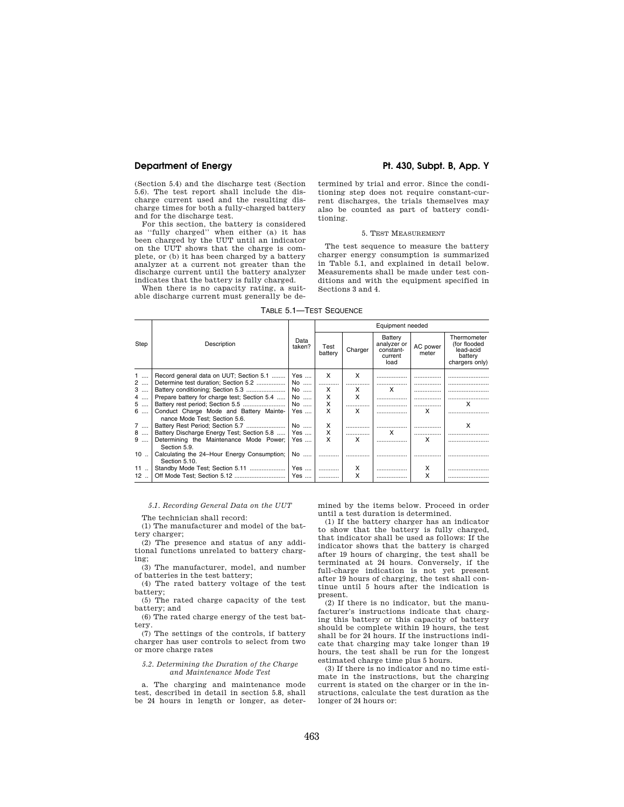(Section 5.4) and the discharge test (Section 5.6). The test report shall include the discharge current used and the resulting discharge times for both a fully-charged battery and for the discharge test.

For this section, the battery is considered as ''fully charged'' when either (a) it has been charged by the UUT until an indicator on the UUT shows that the charge is complete, or (b) it has been charged by a battery analyzer at a current not greater than the discharge current until the battery analyzer indicates that the battery is fully charged.

When there is no capacity rating, a suitable discharge current must generally be de-

## **Department of Energy Pt. 430, Subpt. B, App. Y**

termined by trial and error. Since the conditioning step does not require constant-current discharges, the trials themselves may also be counted as part of battery conditioning.

## 5. TEST MEASUREMENT

The test sequence to measure the battery charger energy consumption is summarized in Table 5.1, and explained in detail below. Measurements shall be made under test conditions and with the equipment specified in Sections 3 and 4.

TABLE 5.1—TEST SEQUENCE

|      |                                                                          | Data<br>taken? | Equipment needed |         |                                                        |                   |                                                                       |
|------|--------------------------------------------------------------------------|----------------|------------------|---------|--------------------------------------------------------|-------------------|-----------------------------------------------------------------------|
| Step | Description                                                              |                | Test<br>battery  | Charger | Battery<br>analyzer or<br>constant-<br>current<br>load | AC power<br>meter | Thermometer<br>(for flooded<br>lead-acid<br>battery<br>chargers only) |
| 1    | Record general data on UUT; Section 5.1                                  | Yes            | X                | X       |                                                        |                   |                                                                       |
| 2    | Determine test duration: Section 5.2                                     | No             |                  |         |                                                        |                   |                                                                       |
| $3$  |                                                                          | No             | x                | x       | x                                                      |                   |                                                                       |
| 4    | Prepare battery for charge test; Section 5.4                             | No             | x                | X       |                                                        |                   |                                                                       |
| 5    |                                                                          | No             | X                |         |                                                        |                   | x                                                                     |
| 6    | Conduct Charge Mode and Battery Mainte-<br>nance Mode Test: Section 5.6. | Yes            |                  | X       |                                                        | x                 |                                                                       |
| 7    |                                                                          | No             | X                |         |                                                        |                   | x                                                                     |
| 8    | Battery Discharge Energy Test; Section 5.8                               | $Yes$          | x                |         | x                                                      |                   |                                                                       |
| $9$  | Determining the Maintenance Mode Power;<br>Section 5.9.                  | Yes            | x                | x       |                                                        | x                 |                                                                       |
| 10   | Calculating the 24-Hour Energy Consumption;<br>Section 5.10.             | No             |                  |         |                                                        |                   |                                                                       |
| 11   |                                                                          | Yes            |                  | x       |                                                        | х                 |                                                                       |
| 12   |                                                                          | Yes            |                  | x       |                                                        | x                 |                                                                       |

*5.1. Recording General Data on the UUT* 

The technician shall record:

(1) The manufacturer and model of the battery charger;

(2) The presence and status of any additional functions unrelated to battery charging;

(3) The manufacturer, model, and number of batteries in the test battery;

(4) The rated battery voltage of the test battery;

(5) The rated charge capacity of the test battery; and

(6) The rated charge energy of the test battery.

(7) The settings of the controls, if battery charger has user controls to select from two or more charge rates

#### *5.2. Determining the Duration of the Charge and Maintenance Mode Test*

a. The charging and maintenance mode test, described in detail in section 5.8, shall be 24 hours in length or longer, as determined by the items below. Proceed in order until a test duration is determined.

(1) If the battery charger has an indicator to show that the battery is fully charged, that indicator shall be used as follows: If the indicator shows that the battery is charged after 19 hours of charging, the test shall be terminated at 24 hours. Conversely, if the full-charge indication is not yet present after 19 hours of charging, the test shall continue until 5 hours after the indication is present.

(2) If there is no indicator, but the manufacturer's instructions indicate that charging this battery or this capacity of battery should be complete within 19 hours, the test shall be for 24 hours. If the instructions indicate that charging may take longer than 19 hours, the test shall be run for the longest estimated charge time plus 5 hours.

(3) If there is no indicator and no time estimate in the instructions, but the charging current is stated on the charger or in the instructions, calculate the test duration as the longer of 24 hours or: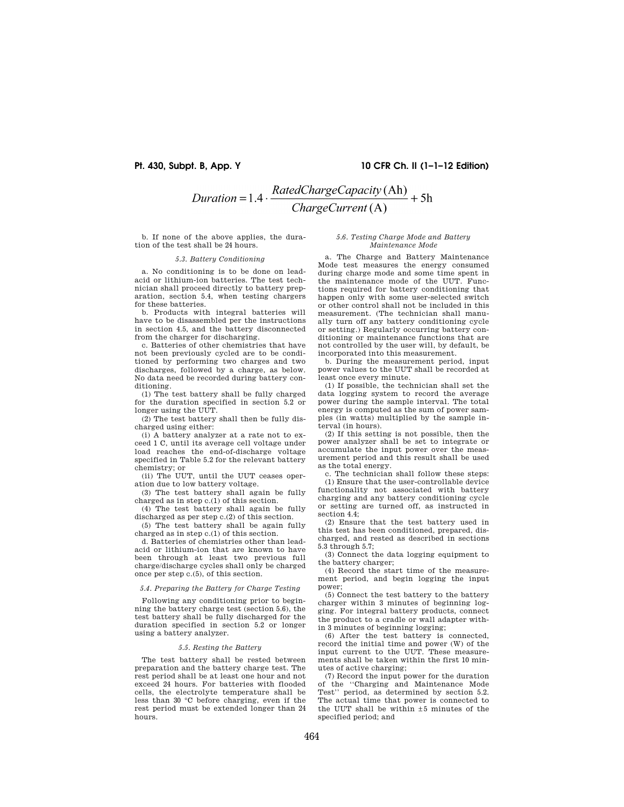# **Pt. 430, Subpt. B, App. Y 10 CFR Ch. II (1–1–12 Edition)**

# Duration = 1.4  $\cdot \frac{RatedChangeCapacity(\text{Ah})}{ChargeCurrent(\text{A})} + 5\text{h}$

b. If none of the above applies, the duration of the test shall be 24 hours.

#### *5.3. Battery Conditioning*

a. No conditioning is to be done on leadacid or lithium-ion batteries. The test technician shall proceed directly to battery preparation, section 5.4, when testing chargers for these batteries.

b. Products with integral batteries will have to be disassembled per the instructions in section 4.5, and the battery disconnected from the charger for discharging.

c. Batteries of other chemistries that have not been previously cycled are to be conditioned by performing two charges and two discharges, followed by a charge, as below. No data need be recorded during battery conditioning.

(1) The test battery shall be fully charged for the duration specified in section 5.2 or longer using the UUT.

(2) The test battery shall then be fully discharged using either:

(i) A battery analyzer at a rate not to exceed 1 C, until its average cell voltage under load reaches the end-of-discharge voltage specified in Table 5.2 for the relevant battery chemistry; or

(ii) The UUT, until the UUT ceases operation due to low battery voltage.

(3) The test battery shall again be fully charged as in step c.(1) of this section.

(4) The test battery shall again be fully discharged as per step c.(2) of this section.

(5) The test battery shall be again fully charged as in step c.(1) of this section.

d. Batteries of chemistries other than leadacid or lithium-ion that are known to have been through at least two previous full charge/discharge cycles shall only be charged once per step c.(5), of this section.

*5.4. Preparing the Battery for Charge Testing* 

Following any conditioning prior to beginning the battery charge test (section 5.6), the test battery shall be fully discharged for the duration specified in section 5.2 or longer using a battery analyzer.

#### *5.5. Resting the Battery*

The test battery shall be rested between preparation and the battery charge test. The rest period shall be at least one hour and not exceed 24 hours. For batteries with flooded cells, the electrolyte temperature shall be less than 30 °C before charging, even if the rest period must be extended longer than 24 hours.

## *5.6. Testing Charge Mode and Battery Maintenance Mode*

a. The Charge and Battery Maintenance Mode test measures the energy consumed during charge mode and some time spent in the maintenance mode of the UUT. Functions required for battery conditioning that happen only with some user-selected switch or other control shall not be included in this measurement. (The technician shall manually turn off any battery conditioning cycle or setting.) Regularly occurring battery conditioning or maintenance functions that are not controlled by the user will, by default, be incorporated into this measurement.

b. During the measurement period, input power values to the UUT shall be recorded at least once every minute.

(1) If possible, the technician shall set the data logging system to record the average power during the sample interval. The total energy is computed as the sum of power samples (in watts) multiplied by the sample interval (in hours).

(2) If this setting is not possible, then the power analyzer shall be set to integrate or accumulate the input power over the measurement period and this result shall be used as the total energy.

c. The technician shall follow these steps: (1) Ensure that the user-controllable device functionality not associated with battery charging and any battery conditioning cycle or setting are turned off, as instructed in section 4.4:

(2) Ensure that the test battery used in this test has been conditioned, prepared, discharged, and rested as described in sections 5.3 through 5.7;

(3) Connect the data logging equipment to the battery charger;

(4) Record the start time of the measurement period, and begin logging the input power;

(5) Connect the test battery to the battery charger within 3 minutes of beginning logging. For integral battery products, connect the product to a cradle or wall adapter within 3 minutes of beginning logging;

(6) After the test battery is connected, record the initial time and power (W) of the input current to the UUT. These measurements shall be taken within the first 10 minutes of active charging;

(7) Record the input power for the duration of the ''Charging and Maintenance Mode Test'' period, as determined by section 5.2. The actual time that power is connected to the UUT shall be within  $\pm 5$  minutes of the specified period; and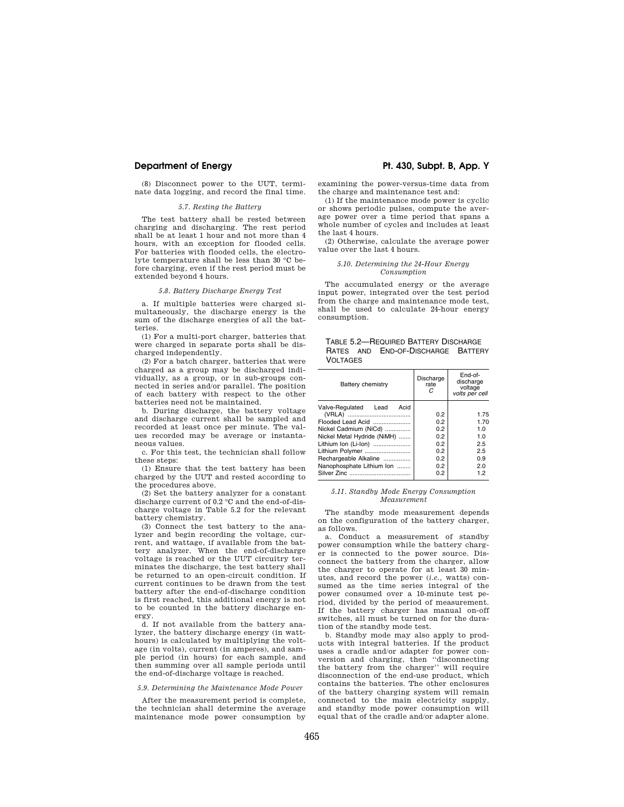## **Department of Energy Pt. 430, Subpt. B, App. Y**

(8) Disconnect power to the UUT, terminate data logging, and record the final time.

# *5.7. Resting the Battery*

The test battery shall be rested between charging and discharging. The rest period shall be at least 1 hour and not more than 4 hours, with an exception for flooded cells. For batteries with flooded cells, the electrolyte temperature shall be less than 30 °C before charging, even if the rest period must be extended beyond 4 hours.

### *5.8. Battery Discharge Energy Test*

a. If multiple batteries were charged simultaneously, the discharge energy is the sum of the discharge energies of all the batteries.

(1) For a multi-port charger, batteries that were charged in separate ports shall be discharged independently.

(2) For a batch charger, batteries that were charged as a group may be discharged individually, as a group, or in sub-groups connected in series and/or parallel. The position of each battery with respect to the other batteries need not be maintained.

b. During discharge, the battery voltage and discharge current shall be sampled and recorded at least once per minute. The values recorded may be average or instantaneous values.

c. For this test, the technician shall follow these steps:

(1) Ensure that the test battery has been charged by the UUT and rested according to the procedures above.

(2) Set the battery analyzer for a constant discharge current of 0.2 °C and the end-of-discharge voltage in Table 5.2 for the relevant battery chemistry.

(3) Connect the test battery to the analyzer and begin recording the voltage, current, and wattage, if available from the battery analyzer. When the end-of-discharge voltage is reached or the UUT circuitry terminates the discharge, the test battery shall be returned to an open-circuit condition. If current continues to be drawn from the test battery after the end-of-discharge condition is first reached, this additional energy is not to be counted in the battery discharge energy.

d. If not available from the battery analyzer, the battery discharge energy (in watthours) is calculated by multiplying the voltage (in volts), current (in amperes), and sample period (in hours) for each sample, and then summing over all sample periods until the end-of-discharge voltage is reached.

# *5.9. Determining the Maintenance Mode Power*

After the measurement period is complete, the technician shall determine the average maintenance mode power consumption by

examining the power-versus-time data from the charge and maintenance test and:

(1) If the maintenance mode power is cyclic or shows periodic pulses, compute the average power over a time period that spans a whole number of cycles and includes at least the last 4 hours.

(2) Otherwise, calculate the average power value over the last 4 hours.

#### *5.10. Determining the 24-Hour Energy Consumption*

The accumulated energy or the average input power, integrated over the test period from the charge and maintenance mode test, shall be used to calculate 24-hour energy consumption.

|                 | TABLE 5.2-REQUIRED BATTERY DISCHARGE |  |
|-----------------|--------------------------------------|--|
|                 | RATES AND END-OF-DISCHARGE BATTERY   |  |
| <b>VOLTAGES</b> |                                      |  |

| Battery chemistry            | Discharge<br>rate | End-of-<br>discharge<br>voltage<br>volts per cell |
|------------------------------|-------------------|---------------------------------------------------|
| Acid<br>Valve-Regulated Lead |                   |                                                   |
|                              | 0.2               | 1.75                                              |
| Flooded Lead Acid            | 0.2               | 1.70                                              |
| Nickel Cadmium (NiCd)        | $0.2^{\circ}$     | 1.0                                               |
| Nickel Metal Hydride (NiMH)  | 0.2               | 1.0                                               |
| Lithium Ion (Li-Ion)         | $0.2^{\circ}$     | 2.5                                               |
| Lithium Polymer              | 0.2               | 2.5                                               |
| Rechargeable Alkaline        | $0.2^{\circ}$     | 0.9                                               |
| Nanophosphate Lithium Ion    | 0.2               | 2.0                                               |
|                              | 0.2               | 1.2                                               |

#### *5.11. Standby Mode Energy Consumption Measurement*

The standby mode measurement depends on the configuration of the battery charger, as follows.

a. Conduct a measurement of standby power consumption while the battery charger is connected to the power source. Disconnect the battery from the charger, allow the charger to operate for at least 30 minutes, and record the power (*i.e.,* watts) consumed as the time series integral of the power consumed over a 10-minute test period, divided by the period of measurement. If the battery charger has manual on-off switches, all must be turned on for the duration of the standby mode test.

b. Standby mode may also apply to products with integral batteries. If the product uses a cradle and/or adapter for power conversion and charging, then ''disconnecting the battery from the charger'' will require disconnection of the end-use product, which contains the batteries. The other enclosures of the battery charging system will remain connected to the main electricity supply, and standby mode power consumption will equal that of the cradle and/or adapter alone.